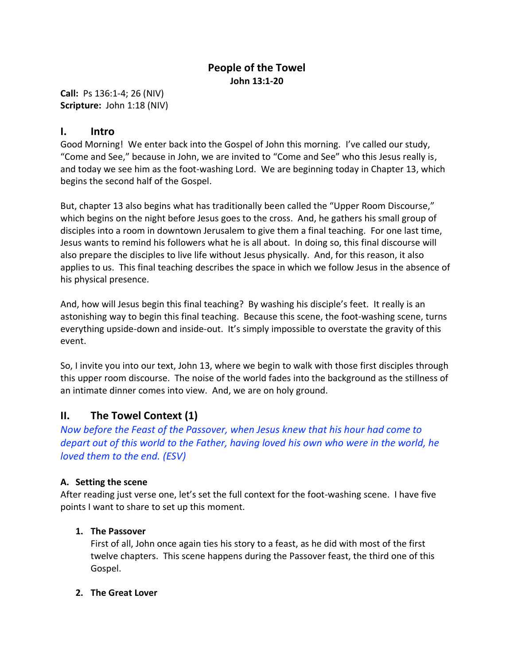# **People of the Towel John 13:1-20**

**Call:** Ps 136:1-4; 26 (NIV) **Scripture:** John 1:18 (NIV)

## **I. Intro**

Good Morning! We enter back into the Gospel of John this morning. I've called our study, "Come and See," because in John, we are invited to "Come and See" who this Jesus really is, and today we see him as the foot-washing Lord. We are beginning today in Chapter 13, which begins the second half of the Gospel.

But, chapter 13 also begins what has traditionally been called the "Upper Room Discourse," which begins on the night before Jesus goes to the cross. And, he gathers his small group of disciples into a room in downtown Jerusalem to give them a final teaching. For one last time, Jesus wants to remind his followers what he is all about. In doing so, this final discourse will also prepare the disciples to live life without Jesus physically. And, for this reason, it also applies to us. This final teaching describes the space in which we follow Jesus in the absence of his physical presence.

And, how will Jesus begin this final teaching? By washing his disciple's feet. It really is an astonishing way to begin this final teaching. Because this scene, the foot-washing scene, turns everything upside-down and inside-out. It's simply impossible to overstate the gravity of this event.

So, I invite you into our text, John 13, where we begin to walk with those first disciples through this upper room discourse. The noise of the world fades into the background as the stillness of an intimate dinner comes into view. And, we are on holy ground.

# **II. The Towel Context (1)**

*Now before the Feast of the Passover, when Jesus knew that his hour had come to depart out of this world to the Father, having loved his own who were in the world, he loved them to the end. (ESV)*

### **A. Setting the scene**

After reading just verse one, let's set the full context for the foot-washing scene. I have five points I want to share to set up this moment.

### **1. The Passover**

First of all, John once again ties his story to a feast, as he did with most of the first twelve chapters. This scene happens during the Passover feast, the third one of this Gospel.

### **2. The Great Lover**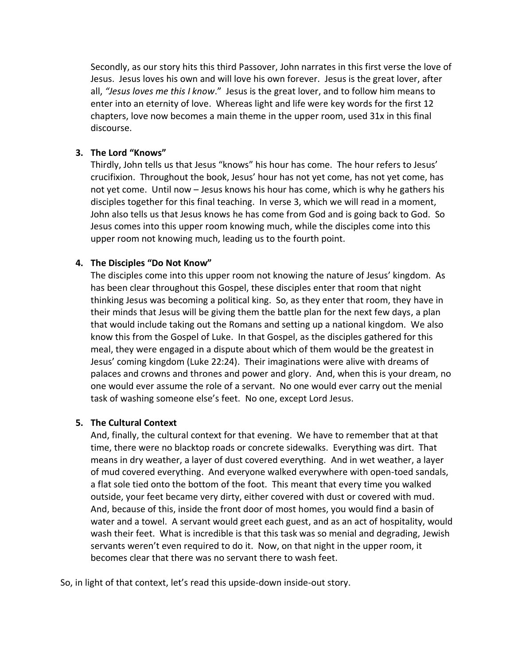Secondly, as our story hits this third Passover, John narrates in this first verse the love of Jesus. Jesus loves his own and will love his own forever. Jesus is the great lover, after all, *"Jesus loves me this I know*." Jesus is the great lover, and to follow him means to enter into an eternity of love. Whereas light and life were key words for the first 12 chapters, love now becomes a main theme in the upper room, used 31x in this final discourse.

#### **3. The Lord "Knows"**

Thirdly, John tells us that Jesus "knows" his hour has come. The hour refers to Jesus' crucifixion. Throughout the book, Jesus' hour has not yet come, has not yet come, has not yet come. Until now – Jesus knows his hour has come, which is why he gathers his disciples together for this final teaching. In verse 3, which we will read in a moment, John also tells us that Jesus knows he has come from God and is going back to God. So Jesus comes into this upper room knowing much, while the disciples come into this upper room not knowing much, leading us to the fourth point.

#### **4. The Disciples "Do Not Know"**

The disciples come into this upper room not knowing the nature of Jesus' kingdom. As has been clear throughout this Gospel, these disciples enter that room that night thinking Jesus was becoming a political king. So, as they enter that room, they have in their minds that Jesus will be giving them the battle plan for the next few days, a plan that would include taking out the Romans and setting up a national kingdom. We also know this from the Gospel of Luke. In that Gospel, as the disciples gathered for this meal, they were engaged in a dispute about which of them would be the greatest in Jesus' coming kingdom (Luke 22:24). Their imaginations were alive with dreams of palaces and crowns and thrones and power and glory. And, when this is your dream, no one would ever assume the role of a servant. No one would ever carry out the menial task of washing someone else's feet. No one, except Lord Jesus.

#### **5. The Cultural Context**

And, finally, the cultural context for that evening. We have to remember that at that time, there were no blacktop roads or concrete sidewalks. Everything was dirt. That means in dry weather, a layer of dust covered everything. And in wet weather, a layer of mud covered everything. And everyone walked everywhere with open-toed sandals, a flat sole tied onto the bottom of the foot. This meant that every time you walked outside, your feet became very dirty, either covered with dust or covered with mud. And, because of this, inside the front door of most homes, you would find a basin of water and a towel. A servant would greet each guest, and as an act of hospitality, would wash their feet. What is incredible is that this task was so menial and degrading, Jewish servants weren't even required to do it. Now, on that night in the upper room, it becomes clear that there was no servant there to wash feet.

So, in light of that context, let's read this upside-down inside-out story.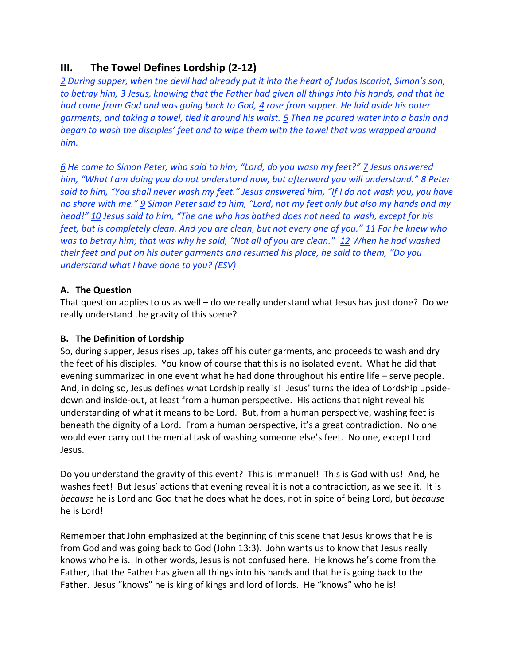# **III. The Towel Defines Lordship (2-12)**

*2 During supper, when the devil had already put it into the heart of Judas Iscariot, Simon's son, to betray him, 3 Jesus, knowing that the Father had given all things into his hands, and that he had come from God and was going back to God, 4 rose from supper. He laid aside his outer garments, and taking a towel, tied it around his waist. 5 Then he poured water into a basin and began to wash the disciples' feet and to wipe them with the towel that was wrapped around him.* 

*6 He came to Simon Peter, who said to him, "Lord, do you wash my feet?" 7 Jesus answered him, "What I am doing you do not understand now, but afterward you will understand." 8 Peter said to him, "You shall never wash my feet." Jesus answered him, "If I do not wash you, you have no share with me." 9 Simon Peter said to him, "Lord, not my feet only but also my hands and my head!" 10 Jesus said to him, "The one who has bathed does not need to wash, except for his feet, but is completely clean. And you are clean, but not every one of you." 11 For he knew who was to betray him; that was why he said, "Not all of you are clean." 12 When he had washed their feet and put on his outer garments and resumed his place, he said to them, "Do you understand what I have done to you? (ESV)*

### **A. The Question**

That question applies to us as well – do we really understand what Jesus has just done? Do we really understand the gravity of this scene?

### **B. The Definition of Lordship**

So, during supper, Jesus rises up, takes off his outer garments, and proceeds to wash and dry the feet of his disciples. You know of course that this is no isolated event. What he did that evening summarized in one event what he had done throughout his entire life – serve people. And, in doing so, Jesus defines what Lordship really is! Jesus' turns the idea of Lordship upsidedown and inside-out, at least from a human perspective. His actions that night reveal his understanding of what it means to be Lord. But, from a human perspective, washing feet is beneath the dignity of a Lord. From a human perspective, it's a great contradiction. No one would ever carry out the menial task of washing someone else's feet. No one, except Lord Jesus.

Do you understand the gravity of this event? This is Immanuel! This is God with us! And, he washes feet! But Jesus' actions that evening reveal it is not a contradiction, as we see it. It is *because* he is Lord and God that he does what he does, not in spite of being Lord, but *because* he is Lord!

Remember that John emphasized at the beginning of this scene that Jesus knows that he is from God and was going back to God (John 13:3). John wants us to know that Jesus really knows who he is. In other words, Jesus is not confused here. He knows he's come from the Father, that the Father has given all things into his hands and that he is going back to the Father. Jesus "knows" he is king of kings and lord of lords. He "knows" who he is!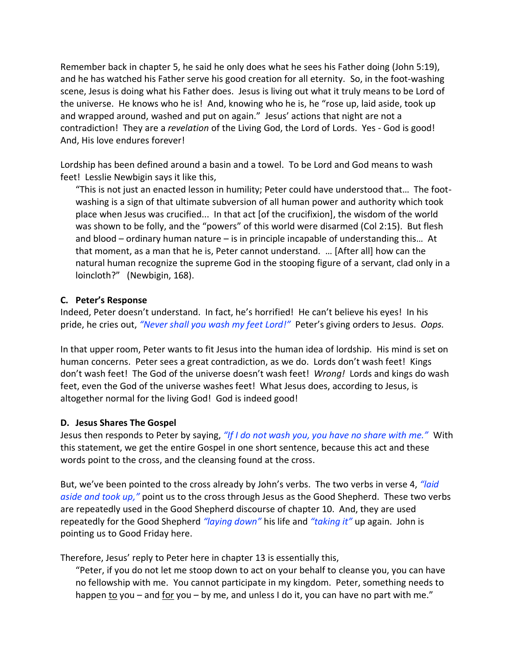Remember back in chapter 5, he said he only does what he sees his Father doing (John 5:19), and he has watched his Father serve his good creation for all eternity. So, in the foot-washing scene, Jesus is doing what his Father does. Jesus is living out what it truly means to be Lord of the universe. He knows who he is! And, knowing who he is, he "rose up, laid aside, took up and wrapped around, washed and put on again." Jesus' actions that night are not a contradiction! They are a *revelation* of the Living God, the Lord of Lords. Yes - God is good! And, His love endures forever!

Lordship has been defined around a basin and a towel. To be Lord and God means to wash feet! Lesslie Newbigin says it like this,

"This is not just an enacted lesson in humility; Peter could have understood that… The footwashing is a sign of that ultimate subversion of all human power and authority which took place when Jesus was crucified... In that act [of the crucifixion], the wisdom of the world was shown to be folly, and the "powers" of this world were disarmed (Col 2:15). But flesh and blood – ordinary human nature – is in principle incapable of understanding this… At that moment, as a man that he is, Peter cannot understand. … [After all] how can the natural human recognize the supreme God in the stooping figure of a servant, clad only in a loincloth?" (Newbigin, 168).

#### **C. Peter's Response**

Indeed, Peter doesn't understand. In fact, he's horrified! He can't believe his eyes! In his pride, he cries out, *"Never shall you wash my feet Lord!"* Peter's giving orders to Jesus. *Oops.*

In that upper room, Peter wants to fit Jesus into the human idea of lordship. His mind is set on human concerns. Peter sees a great contradiction, as we do. Lords don't wash feet! Kings don't wash feet! The God of the universe doesn't wash feet! *Wrong!* Lords and kings do wash feet, even the God of the universe washes feet! What Jesus does, according to Jesus, is altogether normal for the living God! God is indeed good!

### **D. Jesus Shares The Gospel**

Jesus then responds to Peter by saying, *"If I do not wash you, you have no share with me."* With this statement, we get the entire Gospel in one short sentence, because this act and these words point to the cross, and the cleansing found at the cross.

But, we've been pointed to the cross already by John's verbs. The two verbs in verse 4, *"laid aside and took up,"* point us to the cross through Jesus as the Good Shepherd. These two verbs are repeatedly used in the Good Shepherd discourse of chapter 10. And, they are used repeatedly for the Good Shepherd *"laying down"* his life and *"taking it"* up again. John is pointing us to Good Friday here.

Therefore, Jesus' reply to Peter here in chapter 13 is essentially this,

"Peter, if you do not let me stoop down to act on your behalf to cleanse you, you can have no fellowship with me. You cannot participate in my kingdom. Peter, something needs to happen to you – and for you – by me, and unless I do it, you can have no part with me."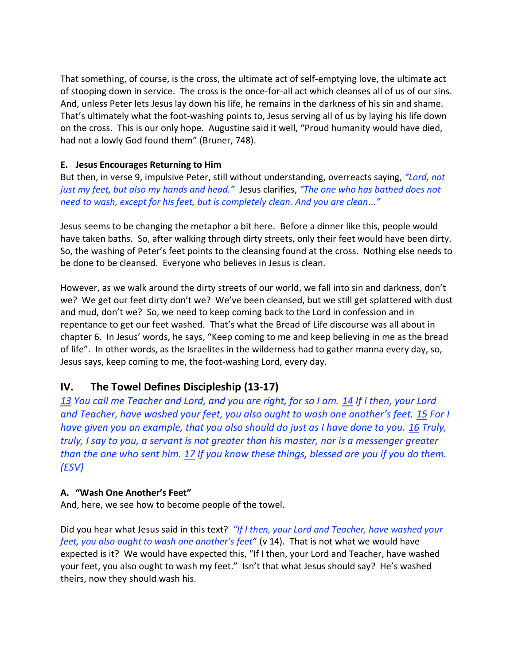That something, of course, is the cross, the ultimate act of self-emptying love, the ultimate act of stooping down in service. The cross is the once-for-all act which cleanses all of us of our sins. And, unless Peter lets Jesus lay down his life, he remains in the darkness of his sin and shame. That's ultimately what the foot-washing points to, Jesus serving all of us by laying his life down on the cross. This is our only hope. Augustine said it well, "Proud humanity would have died, had not a lowly God found them" (Bruner, 748).

### **E. Jesus Encourages Returning to Him**

But then, in verse 9, impulsive Peter, still without understanding, overreacts saying, *"Lord, not just my feet, but also my hands and head."* Jesus clarifies, *"The one who has bathed does not need to wash, except for his feet, but is completely clean. And you are clean..."*

Jesus seems to be changing the metaphor a bit here. Before a dinner like this, people would have taken baths. So, after walking through dirty streets, only their feet would have been dirty. So, the washing of Peter's feet points to the cleansing found at the cross. Nothing else needs to be done to be cleansed. Everyone who believes in Jesus is clean.

However, as we walk around the dirty streets of our world, we fall into sin and darkness, don't we? We get our feet dirty don't we? We've been cleansed, but we still get splattered with dust and mud, don't we? So, we need to keep coming back to the Lord in confession and in repentance to get our feet washed. That's what the Bread of Life discourse was all about in chapter 6. In Jesus' words, he says, "Keep coming to me and keep believing in me as the bread of life". In other words, as the Israelites in the wilderness had to gather manna every day, so, Jesus says, keep coming to me, the foot-washing Lord, every day.

## **IV. The Towel Defines Discipleship (13-17)**

*13 You call me Teacher and Lord, and you are right, for so I am. 14 If I then, your Lord and Teacher, have washed your feet, you also ought to wash one another's feet.* 15 *For I have given you an example, that you also should do just as I have done to you. 16 Truly, truly, I say to you, a servant is not greater than his master, nor is a messenger greater than the one who sent him. 17 If you know these things, blessed are you if you do them. (ESV)*

#### **A. "Wash One Another's Feet"**

And, here, we see how to become people of the towel.

Did you hear what Jesus said in this text? *"If I then, your Lord and Teacher, have washed your feet, you also ought to wash one another's feet*" (v 14). That is not what we would have expected is it? We would have expected this, "If I then, your Lord and Teacher, have washed your feet, you also ought to wash my feet." Isn't that what Jesus should say? He's washed theirs, now they should wash his.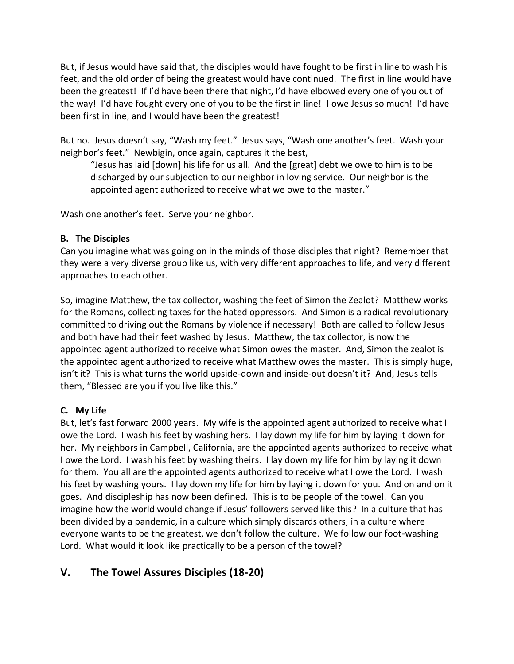But, if Jesus would have said that, the disciples would have fought to be first in line to wash his feet, and the old order of being the greatest would have continued. The first in line would have been the greatest! If I'd have been there that night, I'd have elbowed every one of you out of the way! I'd have fought every one of you to be the first in line! I owe Jesus so much! I'd have been first in line, and I would have been the greatest!

But no. Jesus doesn't say, "Wash my feet." Jesus says, "Wash one another's feet. Wash your neighbor's feet." Newbigin, once again, captures it the best,

"Jesus has laid [down] his life for us all. And the [great] debt we owe to him is to be discharged by our subjection to our neighbor in loving service. Our neighbor is the appointed agent authorized to receive what we owe to the master."

Wash one another's feet. Serve your neighbor.

## **B. The Disciples**

Can you imagine what was going on in the minds of those disciples that night? Remember that they were a very diverse group like us, with very different approaches to life, and very different approaches to each other.

So, imagine Matthew, the tax collector, washing the feet of Simon the Zealot? Matthew works for the Romans, collecting taxes for the hated oppressors. And Simon is a radical revolutionary committed to driving out the Romans by violence if necessary! Both are called to follow Jesus and both have had their feet washed by Jesus. Matthew, the tax collector, is now the appointed agent authorized to receive what Simon owes the master. And, Simon the zealot is the appointed agent authorized to receive what Matthew owes the master. This is simply huge, isn't it? This is what turns the world upside-down and inside-out doesn't it? And, Jesus tells them, "Blessed are you if you live like this."

## **C. My Life**

But, let's fast forward 2000 years. My wife is the appointed agent authorized to receive what I owe the Lord. I wash his feet by washing hers. I lay down my life for him by laying it down for her. My neighbors in Campbell, California, are the appointed agents authorized to receive what I owe the Lord. I wash his feet by washing theirs. I lay down my life for him by laying it down for them. You all are the appointed agents authorized to receive what I owe the Lord. I wash his feet by washing yours. I lay down my life for him by laying it down for you. And on and on it goes. And discipleship has now been defined. This is to be people of the towel. Can you imagine how the world would change if Jesus' followers served like this? In a culture that has been divided by a pandemic, in a culture which simply discards others, in a culture where everyone wants to be the greatest, we don't follow the culture. We follow our foot-washing Lord. What would it look like practically to be a person of the towel?

# **V. The Towel Assures Disciples (18-20)**